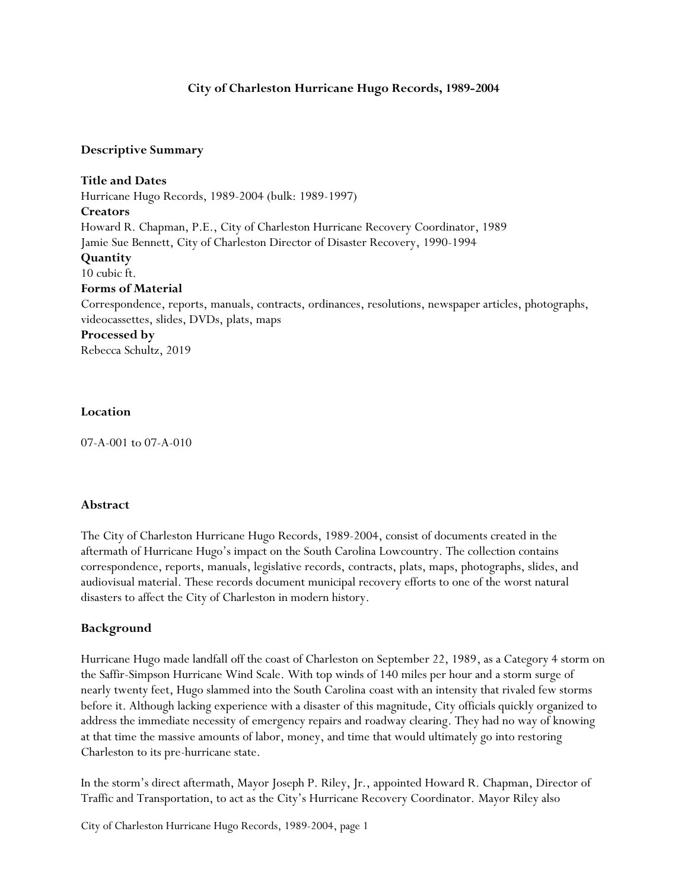## **City of Charleston Hurricane Hugo Records, 1989-2004**

#### **Descriptive Summary**

**Title and Dates** Hurricane Hugo Records, 1989-2004 (bulk: 1989-1997) **Creators** Howard R. Chapman, P.E., City of Charleston Hurricane Recovery Coordinator, 1989 Jamie Sue Bennett, City of Charleston Director of Disaster Recovery, 1990-1994 **Quantity** 10 cubic ft. **Forms of Material** Correspondence, reports, manuals, contracts, ordinances, resolutions, newspaper articles, photographs, videocassettes, slides, DVDs, plats, maps **Processed by**

Rebecca Schultz, 2019

#### **Location**

07-A-001 to 07-A-010

#### **Abstract**

The City of Charleston Hurricane Hugo Records, 1989-2004, consist of documents created in the aftermath of Hurricane Hugo's impact on the South Carolina Lowcountry. The collection contains correspondence, reports, manuals, legislative records, contracts, plats, maps, photographs, slides, and audiovisual material. These records document municipal recovery efforts to one of the worst natural disasters to affect the City of Charleston in modern history.

## **Background**

Hurricane Hugo made landfall off the coast of Charleston on September 22, 1989, as a Category 4 storm on the Saffir-Simpson Hurricane Wind Scale. With top winds of 140 miles per hour and a storm surge of nearly twenty feet, Hugo slammed into the South Carolina coast with an intensity that rivaled few storms before it. Although lacking experience with a disaster of this magnitude, City officials quickly organized to address the immediate necessity of emergency repairs and roadway clearing. They had no way of knowing at that time the massive amounts of labor, money, and time that would ultimately go into restoring Charleston to its pre-hurricane state.

In the storm's direct aftermath, Mayor Joseph P. Riley, Jr., appointed Howard R. Chapman, Director of Traffic and Transportation, to act as the City's Hurricane Recovery Coordinator. Mayor Riley also

City of Charleston Hurricane Hugo Records, 1989-2004, page 1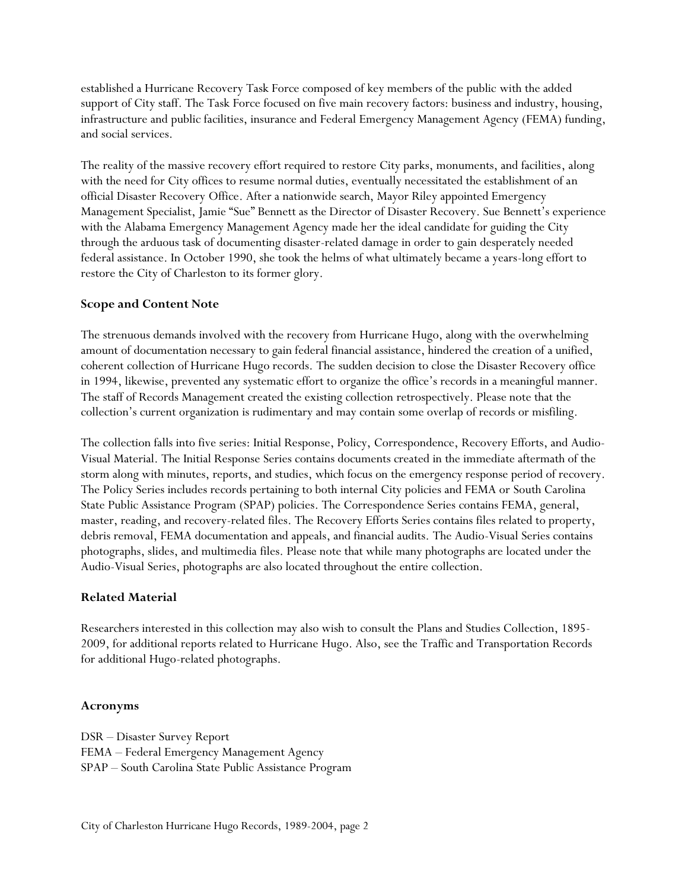established a Hurricane Recovery Task Force composed of key members of the public with the added support of City staff. The Task Force focused on five main recovery factors: business and industry, housing, infrastructure and public facilities, insurance and Federal Emergency Management Agency (FEMA) funding, and social services.

The reality of the massive recovery effort required to restore City parks, monuments, and facilities, along with the need for City offices to resume normal duties, eventually necessitated the establishment of an official Disaster Recovery Office. After a nationwide search, Mayor Riley appointed Emergency Management Specialist, Jamie "Sue" Bennett as the Director of Disaster Recovery. Sue Bennett's experience with the Alabama Emergency Management Agency made her the ideal candidate for guiding the City through the arduous task of documenting disaster-related damage in order to gain desperately needed federal assistance. In October 1990, she took the helms of what ultimately became a years-long effort to restore the City of Charleston to its former glory.

## **Scope and Content Note**

The strenuous demands involved with the recovery from Hurricane Hugo, along with the overwhelming amount of documentation necessary to gain federal financial assistance, hindered the creation of a unified, coherent collection of Hurricane Hugo records. The sudden decision to close the Disaster Recovery office in 1994, likewise, prevented any systematic effort to organize the office's records in a meaningful manner. The staff of Records Management created the existing collection retrospectively. Please note that the collection's current organization is rudimentary and may contain some overlap of records or misfiling.

The collection falls into five series: Initial Response, Policy, Correspondence, Recovery Efforts, and Audio-Visual Material. The Initial Response Series contains documents created in the immediate aftermath of the storm along with minutes, reports, and studies, which focus on the emergency response period of recovery. The Policy Series includes records pertaining to both internal City policies and FEMA or South Carolina State Public Assistance Program (SPAP) policies. The Correspondence Series contains FEMA, general, master, reading, and recovery-related files. The Recovery Efforts Series contains files related to property, debris removal, FEMA documentation and appeals, and financial audits. The Audio-Visual Series contains photographs, slides, and multimedia files. Please note that while many photographs are located under the Audio-Visual Series, photographs are also located throughout the entire collection.

#### **Related Material**

Researchers interested in this collection may also wish to consult the Plans and Studies Collection, 1895- 2009, for additional reports related to Hurricane Hugo. Also, see the Traffic and Transportation Records for additional Hugo-related photographs.

## **Acronyms**

DSR – Disaster Survey Report FEMA – Federal Emergency Management Agency SPAP – South Carolina State Public Assistance Program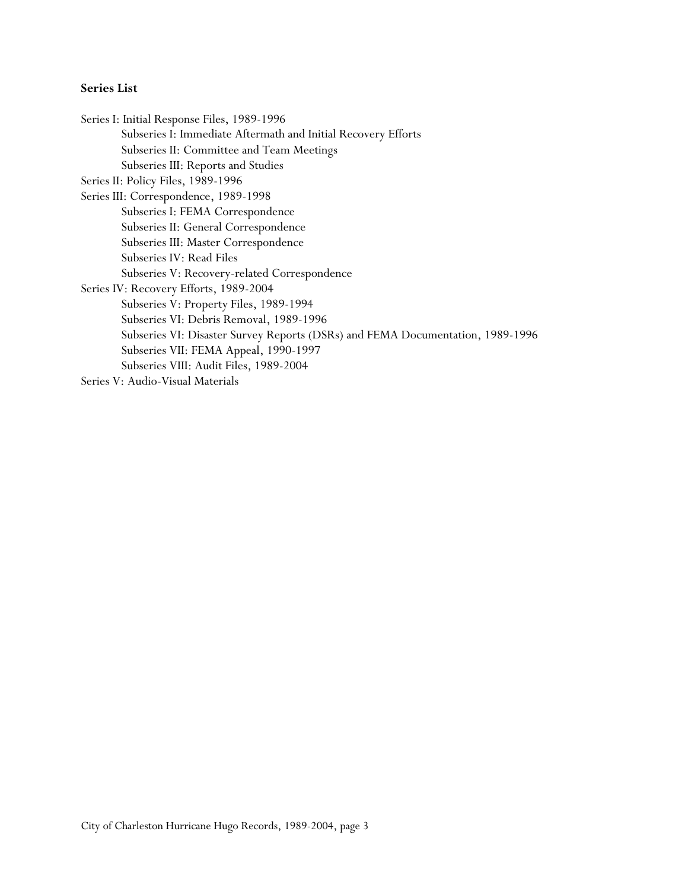## **Series List**

Series I: Initial Response Files, 1989-1996 Subseries I: Immediate Aftermath and Initial Recovery Efforts Subseries II: Committee and Team Meetings Subseries III: Reports and Studies Series II: Policy Files, 1989-1996 Series III: Correspondence, 1989-1998 Subseries I: FEMA Correspondence Subseries II: General Correspondence Subseries III: Master Correspondence Subseries IV: Read Files Subseries V: Recovery-related Correspondence Series IV: Recovery Efforts, 1989-2004 Subseries V: Property Files, 1989-1994 Subseries VI: Debris Removal, 1989-1996 Subseries VI: Disaster Survey Reports (DSRs) and FEMA Documentation, 1989-1996 Subseries VII: FEMA Appeal, 1990-1997 Subseries VIII: Audit Files, 1989-2004 Series V: Audio-Visual Materials